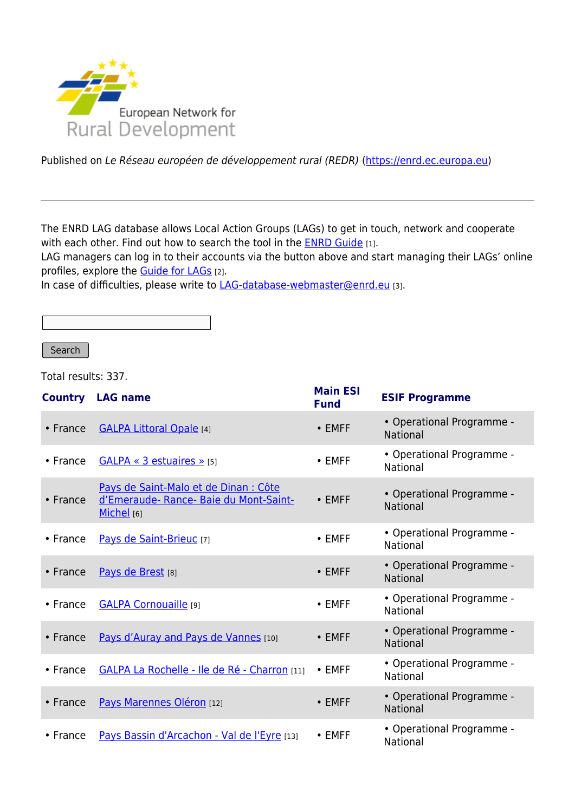

Published on Le Réseau européen de développement rural (REDR) (<https://enrd.ec.europa.eu>)

The ENRD LAG database allows Local Action Groups (LAGs) to get in touch, network and cooperate with each other. Find out how to search the tool in the **[ENRD Guide](https://enrd.ec.europa.eu/sites/default/files/leader_lag-database_how-to-search_guide.pdf)** [1].

LAG managers can log in to their accounts via the button above and start managing their LAGs' online profiles, explore the [Guide for LAGs](https://enrd.ec.europa.eu/leader-clld/lag-database/guide-lags_fr) [2].

In case of difficulties, please write to [LAG-database-webmaster@enrd.eu](mailto:LAG-database-webmaster@enrd.eu) [3].

**Search** 

Total results: 337.

| <b>Country</b> | <b>LAG name</b>                                                                             | <b>Main ESI</b><br><b>Fund</b> | <b>ESIF Programme</b>                        |
|----------------|---------------------------------------------------------------------------------------------|--------------------------------|----------------------------------------------|
| • France       | <b>GALPA Littoral Opale [4]</b>                                                             | $\cdot$ EMFF                   | • Operational Programme -<br><b>National</b> |
| $\cdot$ France | $GALPA \ll 3$ estuaires » [5]                                                               | $\cdot$ EMFF                   | • Operational Programme -<br>National        |
| $\cdot$ France | Pays de Saint-Malo et de Dinan : Côte<br>d'Emeraude-Rance-Baie du Mont-Saint-<br>Michel [6] | $\bullet$ EMFF                 | • Operational Programme -<br><b>National</b> |
| • France       | Pays de Saint-Brieuc [7]                                                                    | $\cdot$ EMFF                   | • Operational Programme -<br>National        |
| $\cdot$ France | Pays de Brest [8]                                                                           | $\cdot$ EMFF                   | • Operational Programme -<br><b>National</b> |
| • France       | <b>GALPA Cornouaille</b> [9]                                                                | $\cdot$ EMFF                   | • Operational Programme -<br><b>National</b> |
| $\cdot$ France | Pays d'Auray and Pays de Vannes [10]                                                        | $\cdot$ EMFF                   | • Operational Programme -<br>National        |
| • France       | GALPA La Rochelle - Ile de Ré - Charron [11]                                                | $\cdot$ EMFF                   | • Operational Programme -<br>National        |
| • France       | Pays Marennes Oléron [12]                                                                   | $\cdot$ EMFF                   | • Operational Programme -<br>National        |
| $\cdot$ France | Pays Bassin d'Arcachon - Val de l'Eyre [13]                                                 | $\cdot$ EMFF                   | • Operational Programme -<br>National        |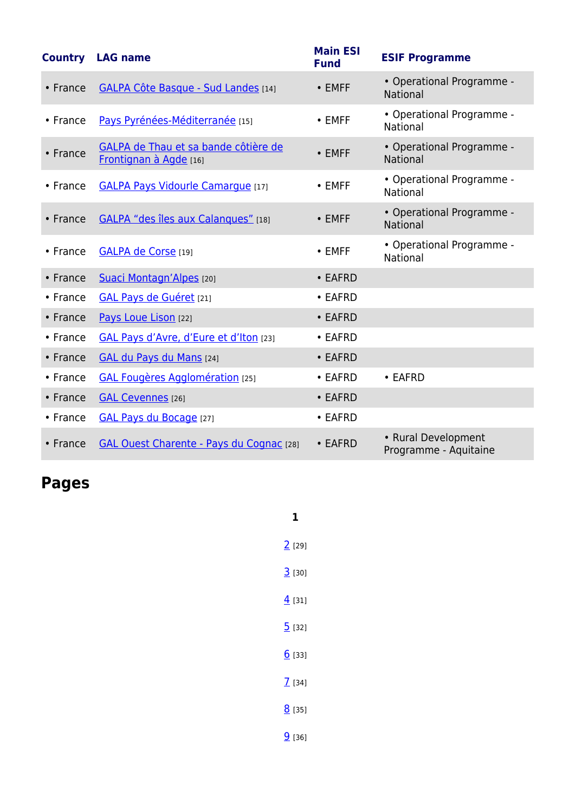| <b>Country</b> | <b>LAG name</b>                                                | <b>Main ESI</b><br><b>Fund</b> | <b>ESIF Programme</b>                        |
|----------------|----------------------------------------------------------------|--------------------------------|----------------------------------------------|
| • France       | <b>GALPA Côte Basque - Sud Landes [14]</b>                     | • EMFF                         | • Operational Programme -<br>National        |
| $\cdot$ France | Pays Pyrénées-Méditerranée [15]                                | $\cdot$ EMFF                   | • Operational Programme -<br>National        |
| • France       | GALPA de Thau et sa bande côtière de<br>Frontignan à Agde [16] | $\cdot$ EMFF                   | • Operational Programme -<br>National        |
| • France       | <b>GALPA Pays Vidourle Camargue [17]</b>                       | • EMFF                         | • Operational Programme -<br>National        |
| • France       | GALPA "des îles aux Calanques" [18]                            | $\cdot$ EMFF                   | • Operational Programme -<br><b>National</b> |
| • France       | <b>GALPA de Corse</b> [19]                                     | $\cdot$ EMFF                   | • Operational Programme -<br>National        |
| • France       | Suaci Montagn'Alpes [20]                                       | • EAFRD                        |                                              |
| • France       | <b>GAL Pays de Guéret</b> [21]                                 | • EAFRD                        |                                              |
| • France       | Pays Loue Lison [22]                                           | • EAFRD                        |                                              |
| • France       | GAL Pays d'Avre, d'Eure et d'Iton [23]                         | • EAFRD                        |                                              |
| • France       | GAL du Pays du Mans [24]                                       | • EAFRD                        |                                              |
| • France       | <b>GAL Fougères Agglomération [25]</b>                         | • EAFRD                        | • EAFRD                                      |
| • France       | <b>GAL Cevennes</b> [26]                                       | • EAFRD                        |                                              |
| • France       | GAL Pays du Bocage [27]                                        | • EAFRD                        |                                              |
| • France       | <b>GAL Ouest Charente - Pays du Cognac [28]</b>                | • EAFRD                        | • Rural Development<br>Programme - Aquitaine |

**Pages**

| 1                   |
|---------------------|
| $2^{[29]}$          |
| $3^{[30]}$          |
| $\overline{4}$ [31] |
| 5[32]               |
| 6[33]               |
| $\overline{1}$ [34] |
| $8^{135}$           |
| $9$ [36]            |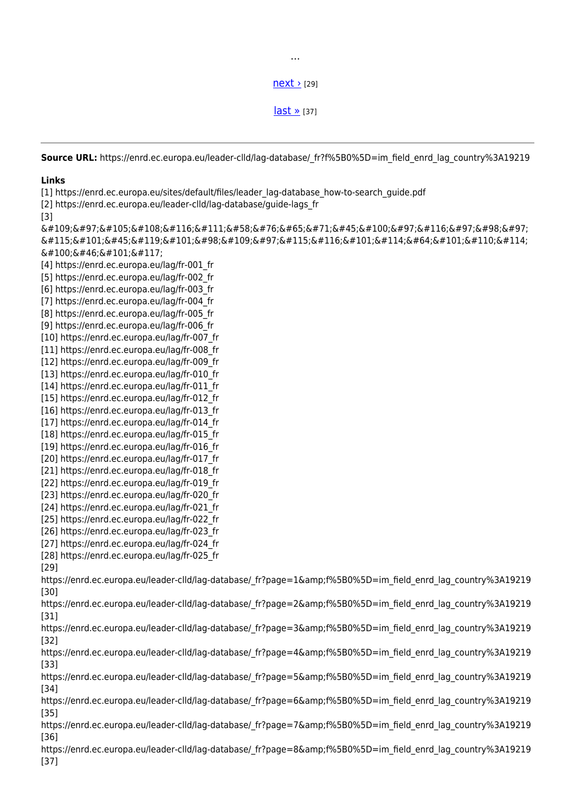$next$   $>$  [29]

…

 $last \times 37$ 

**Source URL:** https://enrd.ec.europa.eu/leader-clld/lag-database/ fr?f%5B0%5D=im field enrd lag country%3A19219

## **Links**

[1] https://enrd.ec.europa.eu/sites/default/files/leader\_lag-database\_how-to-search\_guide.pdf

[2] https://enrd.ec.europa.eu/leader-clld/lag-database/guide-lags\_fr

[3]

 $\&$ #109;ailto:LAG-databa  $\&\#115;\&\#101;\&\#45;\&\#119;\&\#101;\&\#98;\&\#109;\&\#97;\&\#115;\&\#116;\&\#101;\&\#114;\&\#64;\&\#101;\&\#110;\&\#114;\&\#110;\&\#114;\&\#1101;\&\#1101;\&\#1111;\&\#11111;\&\#11111;\&\#11111;\&\#11111;\&\#11111;\&\#11111;\&\#11111;\&\#11111;\&$ d . e u [4] https://enrd.ec.europa.eu/lag/fr-001\_fr [5] https://enrd.ec.europa.eu/lag/fr-002\_fr [6] https://enrd.ec.europa.eu/lag/fr-003\_fr [7] https://enrd.ec.europa.eu/lag/fr-004\_fr [8] https://enrd.ec.europa.eu/lag/fr-005\_fr [9] https://enrd.ec.europa.eu/lag/fr-006\_fr [10] https://enrd.ec.europa.eu/lag/fr-007\_fr [11] https://enrd.ec.europa.eu/lag/fr-008\_fr [12] https://enrd.ec.europa.eu/lag/fr-009\_fr [13] https://enrd.ec.europa.eu/lag/fr-010\_fr [14] https://enrd.ec.europa.eu/lag/fr-011\_fr [15] https://enrd.ec.europa.eu/lag/fr-012\_fr [16] https://enrd.ec.europa.eu/lag/fr-013\_fr [17] https://enrd.ec.europa.eu/lag/fr-014\_fr [18] https://enrd.ec.europa.eu/lag/fr-015\_fr [19] https://enrd.ec.europa.eu/lag/fr-016\_fr [20] https://enrd.ec.europa.eu/lag/fr-017\_fr [21] https://enrd.ec.europa.eu/lag/fr-018\_fr [22] https://enrd.ec.europa.eu/lag/fr-019\_fr [23] https://enrd.ec.europa.eu/lag/fr-020\_fr [24] https://enrd.ec.europa.eu/lag/fr-021\_fr [25] https://enrd.ec.europa.eu/lag/fr-022\_fr [26] https://enrd.ec.europa.eu/lag/fr-023\_fr [27] https://enrd.ec.europa.eu/lag/fr-024\_fr [28] https://enrd.ec.europa.eu/lag/fr-025\_fr [29] https://enrd.ec.europa.eu/leader-clld/lag-database/\_fr?page=1&amp:f%5B0%5D=im\_field\_enrd\_lag\_country%3A19219 [30] https://enrd.ec.europa.eu/leader-clld/lag-database/\_fr?page=2&f%5B0%5D=im\_field\_enrd\_lag\_country%3A19219 [31] https://enrd.ec.europa.eu/leader-clld/lag-database/\_fr?page=3&f%5B0%5D=im\_field\_enrd\_lag\_country%3A19219 [32] https://enrd.ec.europa.eu/leader-clld/lag-database/\_fr?page=4&f%5B0%5D=im\_field\_enrd\_lag\_country%3A19219 [33] https://enrd.ec.europa.eu/leader-clld/lag-database/\_fr?page=5&f%5B0%5D=im\_field\_enrd\_lag\_country%3A19219 [34] https://enrd.ec.europa.eu/leader-clld/lag-database/ fr?page=6&f%5B0%5D=im field enrd lag country%3A19219 [35] https://enrd.ec.europa.eu/leader-clld/lag-database/\_fr?page=7&amp:f%5B0%5D=im\_field\_enrd\_lag\_country%3A19219 [36] https://enrd.ec.europa.eu/leader-clld/lag-database/\_fr?page=8&f%5B0%5D=im\_field\_enrd\_lag\_country%3A19219 [37]